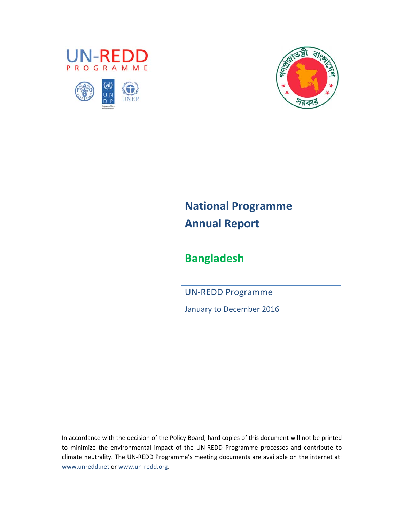





# **National Programme Annual Report**

## **Bangladesh**

UN‐REDD Programme

January to December 2016

In accordance with the decision of the Policy Board, hard copies of this document will not be printed to minimize the environmental impact of the UN‐REDD Programme processes and contribute to climate neutrality. The UN‐REDD Programme's meeting documents are available on the internet at: www.unredd.net or www.un‐redd.org.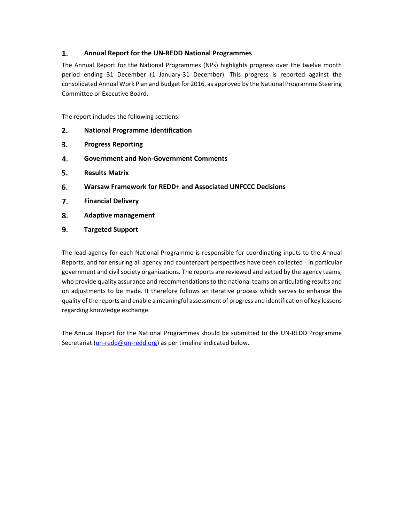#### 1. **Annual Report for the UN‐REDD National Programmes**

The Annual Report for the National Programmes (NPs) highlights progress over the twelve month period ending 31 December (1 January‐31 December). This progress is reported against the consolidated Annual Work Plan and Budget for 2016, as approved by the National Programme Steering Committee or Executive Board.

The report includes the following sections:

- 2. **National Programme Identification**
- 3. **Progress Reporting**
- 4. **Government and Non‐Government Comments**
- 5. **Results Matrix**
- 6. **Warsaw Framework for REDD+ and Associated UNFCCC Decisions**
- 7. **Financial Delivery**
- 8. **Adaptive management**
- 9. **Targeted Support**

The lead agency for each National Programme is responsible for coordinating inputs to the Annual Reports, and for ensuring all agency and counterpart perspectives have been collected ‐ in particular government and civil society organizations. The reports are reviewed and vetted by the agency teams, who provide quality assurance and recommendations to the national teams on articulating results and on adjustments to be made. It therefore follows an iterative process which serves to enhance the quality of the reports and enable a meaningful assessment of progress and identification of key lessons regarding knowledge exchange.

The Annual Report for the National Programmes should be submitted to the UN‐REDD Programme Secretariat (un-redd@un-redd.org) as per timeline indicated below.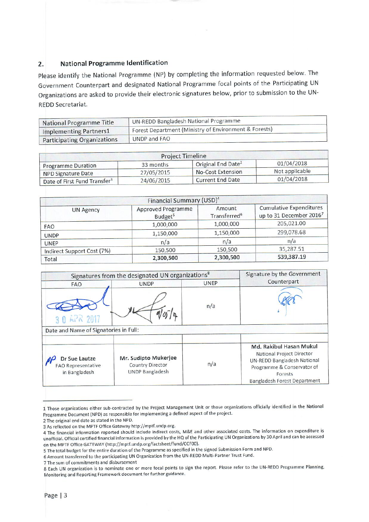#### **National Programme Identification**  $2.$

Please identify the National Programme (NP) by completing the information requested below. The Government Counterpart and designated National Programme focal points of the Participating UN Organizations are asked to provide their electronic signatures below, prior to submission to the UN-**REDD Secretariat.** 

| National Programme Title    | UN-REDD Bangladesh National Programme                              |  |
|-----------------------------|--------------------------------------------------------------------|--|
| Implementing Partners1      | <sup>1</sup> Forest Department (Ministry of Environment & Forests) |  |
| Participating Organizations | UNDP and FAO                                                       |  |

| <b>Project Timeline</b>                  |            |                                |                |  |  |
|------------------------------------------|------------|--------------------------------|----------------|--|--|
| <b>Programme Duration</b>                | 33 months  | Original End Date <sup>2</sup> | 01/04/2018     |  |  |
| <b>NPD Signature Date</b>                | 27/05/2015 | No-Cost Extension              | Not applicable |  |  |
| Date of First Fund Transfer <sup>3</sup> | 24/06/2015 | Current End Date               | 01/04/2018     |  |  |

|                            | Financial Summary (USD) <sup>4</sup>      |                                    |                                                           |
|----------------------------|-------------------------------------------|------------------------------------|-----------------------------------------------------------|
| <b>UN Agency</b>           | Approved Programme<br>Budget <sup>5</sup> | Amount<br>Transferred <sup>6</sup> | <b>Cumulative Expenditures</b><br>up to 31 December 20167 |
| <b>FAO</b>                 | 1,000,000                                 | 1,000,000                          | 205,021.00                                                |
| <b>UNDP</b>                | 1,150,000                                 | 1,150,000                          | 299,078.68                                                |
| <b>UNEP</b>                | n/a                                       | n/a                                | n/a                                                       |
| Indirect Support Cost (7%) | 150,500                                   | 150,500                            | 35,287.51                                                 |
| Total                      | 2,300,500                                 | 2,300,500                          | 539,387.19                                                |

|                                                      | Signatures from the designated UN organizations <sup>8</sup>       |             | Signature by the Government                                                                                                                                  |
|------------------------------------------------------|--------------------------------------------------------------------|-------------|--------------------------------------------------------------------------------------------------------------------------------------------------------------|
| <b>FAO</b>                                           | <b>UNDP</b>                                                        | <b>UNEP</b> | Counterpart                                                                                                                                                  |
| 3 0 42 2017                                          |                                                                    | n/a         |                                                                                                                                                              |
| Date and Name of Signatories in Full:                |                                                                    |             |                                                                                                                                                              |
| Dr Sue Lautze<br>FAO Representative<br>in Bangladesh | Mr. Sudipto Mukerjee<br>Country Director<br><b>UNDP Bangladesh</b> | n/a         | Md. Rakibul Hasan Mukul<br>National Project Director<br>UN-REDD Bangladesh National<br>Programme & Conservator of<br>Forests<br>Bangladesh Forest Department |

<sup>1</sup> Those organizations either sub-contracted by the Project Management Unit or those organizations officially identified in the National Programme Document (NPD) as responsible for implementing a defined aspect of the project.

2 The original end date as stated in the NPD.

7 The sum of commitments and disbursement

<sup>3</sup> As reflected on the MPTF Office Gateway http://mptf.undp.org.

<sup>4</sup> The financial information reported should include indirect costs, M&E and other associated costs. The information on expenditure is unofficial. Official certified financial information is provided by the HQ of the Participating UN Organizations by 30 April and can be accessed on the MPTF Office GATEWAY (http://mptf.undp.org/factsheet/fund/CCF00).

<sup>5</sup> The total budget for the entire duration of the Programme as specified in the signed Submission Form and NPD.

<sup>6</sup> Amount transferred to the participating UN Organization from the UN-REDD Multi-Partner Trust Fund.

<sup>8</sup> Each UN organization is to nominate one or more focal points to sign the report. Please refer to the UN-REDD Programme Planning, Monitoring and Reporting Framework document for further guidance.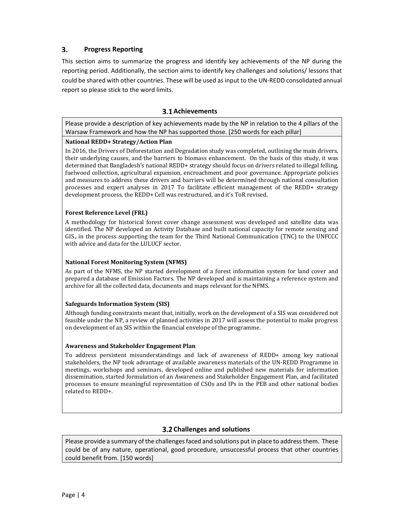#### 3. **Progress Reporting**

This section aims to summarize the progress and identify key achievements of the NP during the reporting period. Additionally, the section aims to identify key challenges and solutions/ lessons that could be shared with other countries. These will be used as input to the UN‐REDD consolidated annual report so please stick to the word limits.

### **Achievements**

Please provide a description of key achievements made by the NP in relation to the 4 pillars of the Warsaw Framework and how the NP has supported those. [250 words for each pillar]

#### **National REDD+ Strategy/Action Plan**

In 2016, the Drivers of Deforestation and Degradation study was completed, outlining the main drivers, their underlying causes, and the barriers to biomass enhancement. On the basis of this study, it was determined that Bangladesh's national REDD+ strategy should focus on drivers related to illegal felling, fuelwood collection, agricultural expansion, encroachment and poor governance. Appropriate policies and measures to address these drivers and barriers will be determined through national consultation processes and expert analyses in 2017 To facilitate efficient management of the REDD+ strategy development process, the REDD+ Cell was restructured, and it's ToR revised.

#### **Forest Reference Level (FRL)**

A methodology for historical forest cover change assessment was developed and satellite data was identified. The NP developed an Activity Database and built national capacity for remote sensing and GIS., in the process supporting the team for the Third National Communication (TNC) to the UNFCCC with advice and data for the LULUCF sector.

#### **National Forest Monitoring System (NFMS)**

As part of the NFMS, the NP started development of a forest information system for land cover and prepared a database of Emission Factors. The NP developed and is maintaining a reference system and archive for all the collected data, documents and maps relevant for the NFMS.

#### **Safeguards Information System (SIS)**

Although funding constraints meant that, initially, work on the development of a SIS was considered not feasible under the NP, a review of planned activities in 2017 will assess the potential to make progress on development of an SIS within the financial envelope of the programme.

#### **Awareness and Stakeholder Engagement Plan**

To address persistent misunderstandings and lack of awareness of REDD+ among key national stakeholders, the NP took advantage of available awareness materials of the UN‐REDD Programme in meetings, workshops and seminars, developed online and published new materials for information dissemination, started formulation of an Awareness and Stakeholder Engagement Plan, and facilitated processes to ensure meaningful representation of CSOs and IPs in the PEB and other national bodies related to REDD+.

### **Challenges and solutions**

Please provide a summary of the challenges faced and solutions put in place to address them. These could be of any nature, operational, good procedure, unsuccessful process that other countries could benefit from. [150 words]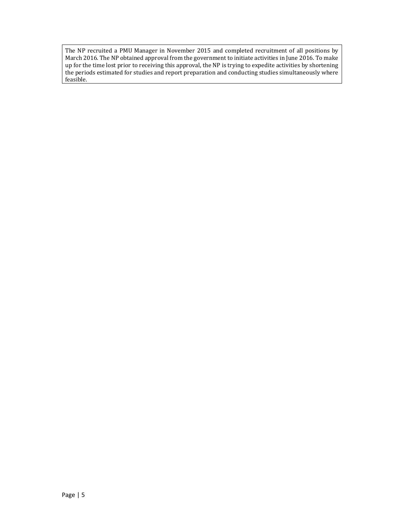The NP recruited a PMU Manager in November 2015 and completed recruitment of all positions by March 2016. The NP obtained approval from the government to initiate activities in June 2016. To make up for the time lost prior to receiving this approval, the NP is trying to expedite activities by shortening the periods estimated for studies and report preparation and conducting studies simultaneously where feasible.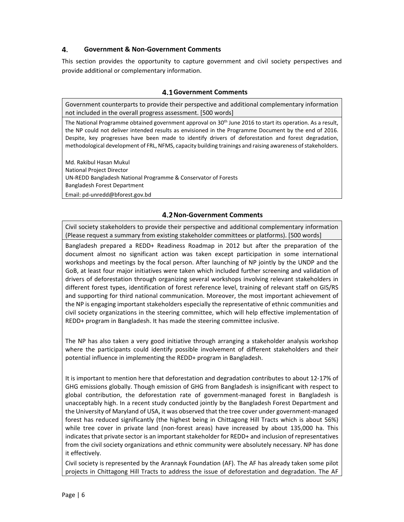#### 4. **Government & Non‐Government Comments**

This section provides the opportunity to capture government and civil society perspectives and provide additional or complementary information.

### **Government Comments**

Government counterparts to provide their perspective and additional complementary information not included in the overall progress assessment. [500 words]

The National Programme obtained government approval on 30<sup>th</sup> June 2016 to start its operation. As a result, the NP could not deliver intended results as envisioned in the Programme Document by the end of 2016. Despite, key progresses have been made to identify drivers of deforestation and forest degradation, methodological development of FRL, NFMS, capacity building trainings and raising awareness ofstakeholders.

Md. Rakibul Hasan Mukul National Project Director UN‐REDD Bangladesh National Programme & Conservator of Forests Bangladesh Forest Department Email: pd‐unredd@bforest.gov.bd

### **Non‐Government Comments**

Civil society stakeholders to provide their perspective and additional complementary information (Please request a summary from existing stakeholder committees or platforms). [500 words]

Bangladesh prepared a REDD+ Readiness Roadmap in 2012 but after the preparation of the document almost no significant action was taken except participation in some international workshops and meetings by the focal person. After launching of NP jointly by the UNDP and the GoB, at least four major initiatives were taken which included further screening and validation of drivers of deforestation through organizing several workshops involving relevant stakeholders in different forest types, identification of forest reference level, training of relevant staff on GIS/RS and supporting for third national communication. Moreover, the most important achievement of the NP is engaging important stakeholders especially the representative of ethnic communities and civil society organizations in the steering committee, which will help effective implementation of REDD+ program in Bangladesh. It has made the steering committee inclusive.

The NP has also taken a very good initiative through arranging a stakeholder analysis workshop where the participants could identify possible involvement of different stakeholders and their potential influence in implementing the REDD+ program in Bangladesh.

It is important to mention here that deforestation and degradation contributes to about 12‐17% of GHG emissions globally. Though emission of GHG from Bangladesh is insignificant with respect to global contribution, the deforestation rate of government‐managed forest in Bangladesh is unacceptably high. In a recent study conducted jointly by the Bangladesh Forest Department and the University of Maryland of USA, it was observed that the tree cover under government‐managed forest has reduced significantly (the highest being in Chittagong Hill Tracts which is about 56%) while tree cover in private land (non-forest areas) have increased by about 135,000 ha. This indicates that private sector is an important stakeholder for REDD+ and inclusion of representatives from the civil society organizations and ethnic community were absolutely necessary. NP has done it effectively.

Civil society is represented by the Arannayk Foundation (AF). The AF has already taken some pilot projects in Chittagong Hill Tracts to address the issue of deforestation and degradation. The AF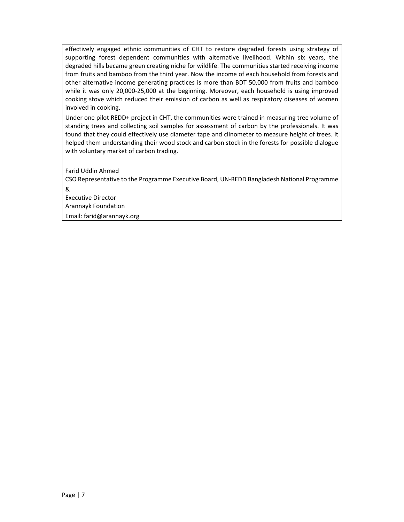effectively engaged ethnic communities of CHT to restore degraded forests using strategy of supporting forest dependent communities with alternative livelihood. Within six years, the degraded hills became green creating niche for wildlife. The communities started receiving income from fruits and bamboo from the third year. Now the income of each household from forests and other alternative income generating practices is more than BDT 50,000 from fruits and bamboo while it was only 20,000-25,000 at the beginning. Moreover, each household is using improved cooking stove which reduced their emission of carbon as well as respiratory diseases of women involved in cooking.

Under one pilot REDD+ project in CHT, the communities were trained in measuring tree volume of standing trees and collecting soil samples for assessment of carbon by the professionals. It was found that they could effectively use diameter tape and clinometer to measure height of trees. It helped them understanding their wood stock and carbon stock in the forests for possible dialogue with voluntary market of carbon trading.

Farid Uddin Ahmed

CSO Representative to the Programme Executive Board, UN‐REDD Bangladesh National Programme

& Executive Director Arannayk Foundation

Email: farid@arannayk.org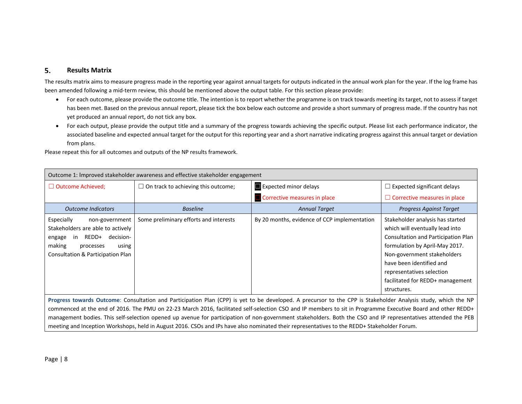#### 5. **Results Matrix**

The results matrix aims to measure progress made in the reporting year against annual targets for outputs indicated in the annual work plan for the year. If the log frame has been amended following <sup>a</sup> mid‐term review, this should be mentioned above the output table. For this section please provide:

- $\bullet$  For each outcome, please provide the outcome title. The intention is to report whether the programme is on track towards meeting its target, not to assess if target has been met. Based on the previous annual report, please tick the box below each outcome and provide <sup>a</sup> short summary of progress made. If the country has not yet produced an annual report, do not tick any box.
- For each output, please provide the output title and <sup>a</sup> summary of the progress towards achieving the specific output. Please list each performance indicator, the associated baseline and expected annual target for the output for this reporting year and <sup>a</sup> short narrative indicating progress against this annual target or deviation from plans.

|                                                                                                                                                                           | Outcome 1: Improved stakeholder awareness and effective stakeholder engagement                                                                                 |                                                                                                                                                                |                                                                                                                                                                                                                                                                                         |  |  |  |  |  |
|---------------------------------------------------------------------------------------------------------------------------------------------------------------------------|----------------------------------------------------------------------------------------------------------------------------------------------------------------|----------------------------------------------------------------------------------------------------------------------------------------------------------------|-----------------------------------------------------------------------------------------------------------------------------------------------------------------------------------------------------------------------------------------------------------------------------------------|--|--|--|--|--|
| $\Box$ Outcome Achieved;                                                                                                                                                  | $\Box$ On track to achieving this outcome;                                                                                                                     | <b>Expected minor delays</b>                                                                                                                                   | $\Box$ Expected significant delays                                                                                                                                                                                                                                                      |  |  |  |  |  |
|                                                                                                                                                                           |                                                                                                                                                                | Corrective measures in place                                                                                                                                   | $\Box$ Corrective measures in place                                                                                                                                                                                                                                                     |  |  |  |  |  |
| <b>Outcome Indicators</b>                                                                                                                                                 | <b>Baseline</b>                                                                                                                                                | <b>Annual Target</b>                                                                                                                                           | Progress Against Target                                                                                                                                                                                                                                                                 |  |  |  |  |  |
| Especially<br>non-government<br>Stakeholders are able to actively<br>REDD+ decision-<br>engage<br>in<br>making<br>using<br>processes<br>Consultation & Participation Plan | Some preliminary efforts and interests                                                                                                                         | By 20 months, evidence of CCP implementation                                                                                                                   | Stakeholder analysis has started<br>which will eventually lead into<br>Consultation and Participation Plan<br>formulation by April-May 2017.<br>Non-government stakeholders<br>have been identified and<br>representatives selection<br>facilitated for REDD+ management<br>structures. |  |  |  |  |  |
|                                                                                                                                                                           | Progress towards Outcome: Consultation and Participation Plan (CPP) is yet to be developed. A precursor to the CPP is Stakeholder Analysis study, which the NP |                                                                                                                                                                |                                                                                                                                                                                                                                                                                         |  |  |  |  |  |
|                                                                                                                                                                           |                                                                                                                                                                | commenced at the end of 2016. The PMU on 22-23 March 2016, facilitated self-selection CSO and IP members to sit in Programme Executive Board and other REDD+   |                                                                                                                                                                                                                                                                                         |  |  |  |  |  |
|                                                                                                                                                                           |                                                                                                                                                                | management bodies. This self-selection opened up avenue for participation of non-government stakeholders. Both the CSO and IP representatives attended the PEB |                                                                                                                                                                                                                                                                                         |  |  |  |  |  |
|                                                                                                                                                                           |                                                                                                                                                                | meeting and Inception Workshops, held in August 2016. CSOs and IPs have also nominated their representatives to the REDD+ Stakeholder Forum.                   |                                                                                                                                                                                                                                                                                         |  |  |  |  |  |

Please repeat this for all outcomes and outputs of the NP results framework.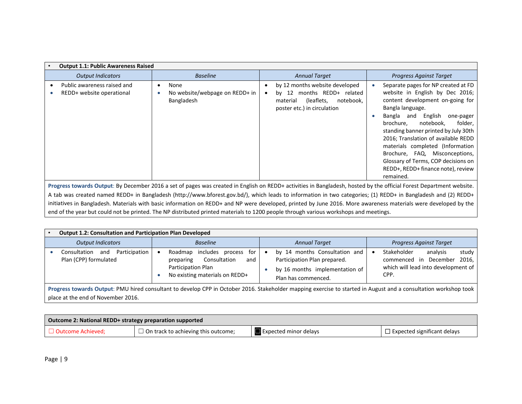| <b>Output 1.1: Public Awareness Raised</b>               |                                                      |  |                                                                                                                                                                                                                                                                                                                                                                                                       |  |                                                                                                                                                                                                                                                                                                                                                                                                                                                          |
|----------------------------------------------------------|------------------------------------------------------|--|-------------------------------------------------------------------------------------------------------------------------------------------------------------------------------------------------------------------------------------------------------------------------------------------------------------------------------------------------------------------------------------------------------|--|----------------------------------------------------------------------------------------------------------------------------------------------------------------------------------------------------------------------------------------------------------------------------------------------------------------------------------------------------------------------------------------------------------------------------------------------------------|
| <b>Output Indicators</b>                                 | <b>Baseline</b>                                      |  | <b>Annual Target</b>                                                                                                                                                                                                                                                                                                                                                                                  |  | <b>Progress Against Target</b>                                                                                                                                                                                                                                                                                                                                                                                                                           |
| Public awareness raised and<br>REDD+ website operational | None<br>No website/webpage on REDD+ in<br>Bangladesh |  | by 12 months website developed<br>$\bullet$<br>months REDD+ related<br>by $12$<br>$\bullet$<br>(leaflets,<br>notebook.<br>material<br>poster etc.) in circulation                                                                                                                                                                                                                                     |  | Separate pages for NP created at FD<br>website in English by Dec 2016;<br>content development on-going for<br>Bangla language.<br>English<br>Bangla and<br>one-pager<br>folder,<br>notebook.<br>brochure.<br>standing banner printed by July 30th<br>2016; Translation of available REDD<br>materials completed (Information<br>Brochure, FAQ, Misconceptions,<br>Glossary of Terms, COP decisions on<br>REDD+, REDD+ finance note), review<br>remained. |
|                                                          |                                                      |  | Progress towards Output: By December 2016 a set of pages was created in English on REDD+ activities in Bangladesh, hosted by the official Forest Department website.<br>ail in the second and the first through the second through the second through the second through the second through the second through the second through the second through the second through the second through the second |  |                                                                                                                                                                                                                                                                                                                                                                                                                                                          |

A tab was created named REDD+ in Bangladesh (http://www.bforest.gov.bd/), which leads to information in two categories; (1) REDD+ in Bangladesh and (2) REDD+ initiatives in Bangladesh. Materials with basic information on REDD+ and NP were developed, printed by June 2016. More awareness materials were developed by the end of the year but could not be printed. The NP distributed printed materials to 1200 people through various workshops and meetings.

| <b>Output 1.2: Consultation and Participation Plan Developed</b>                                                                                                                                       |  |                                                                                                                                |  |                                                                                                                        |  |                                                                                                                   |
|--------------------------------------------------------------------------------------------------------------------------------------------------------------------------------------------------------|--|--------------------------------------------------------------------------------------------------------------------------------|--|------------------------------------------------------------------------------------------------------------------------|--|-------------------------------------------------------------------------------------------------------------------|
| <b>Output Indicators</b>                                                                                                                                                                               |  | <b>Baseline</b>                                                                                                                |  | <b>Annual Target</b>                                                                                                   |  | <b>Progress Against Target</b>                                                                                    |
| Participation<br>Consultation<br>and<br>Plan (CPP) formulated                                                                                                                                          |  | includes process<br>Roadmap<br>for<br>Consultation<br>preparing<br>and<br>Participation Plan<br>No existing materials on REDD+ |  | by 14 months Consultation and<br>Participation Plan prepared.<br>by 16 months implementation of<br>Plan has commenced. |  | Stakeholder<br>study<br>analysis<br>commenced in December<br>2016.<br>which will lead into development of<br>CPP. |
| Progress towards Output: PMU hired consultant to develop CPP in October 2016. Stakeholder mapping exercise to started in August and a consultation workshop took<br>place at the end of November 2016. |  |                                                                                                                                |  |                                                                                                                        |  |                                                                                                                   |

| Outcome 2: National REDD+ strategy preparation supported |                                            |                                      |                                    |  |  |
|----------------------------------------------------------|--------------------------------------------|--------------------------------------|------------------------------------|--|--|
| □ Outcome Achieved;                                      | $\Box$ On track to achieving this outcome; | $\blacksquare$ Expected minor delays | $\Box$ Expected significant delays |  |  |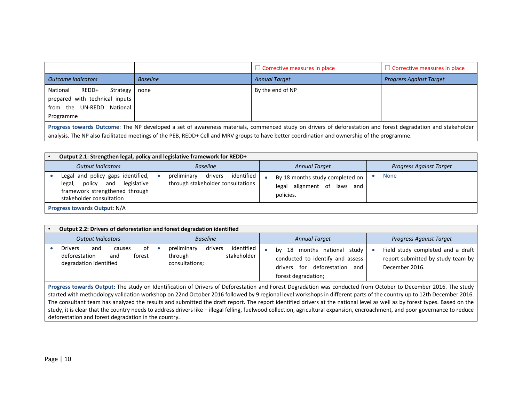|                                                                                                           |                 | $\Box$ Corrective measures in place                                                                                                                                                                                                                                                                         | $\Box$ Corrective measures in place |
|-----------------------------------------------------------------------------------------------------------|-----------------|-------------------------------------------------------------------------------------------------------------------------------------------------------------------------------------------------------------------------------------------------------------------------------------------------------------|-------------------------------------|
| <b>Outcome Indicators</b>                                                                                 | <b>Baseline</b> | <b>Annual Target</b>                                                                                                                                                                                                                                                                                        | <b>Progress Against Target</b>      |
| National<br>REDD+<br>Strategy<br>prepared with technical inputs<br>from the UN-REDD National<br>Programme | none            | By the end of NP                                                                                                                                                                                                                                                                                            |                                     |
|                                                                                                           |                 | Progress towards Outcome: The NP developed a set of awareness materials, commenced study on drivers of deforestation and forest degradation and stakeholder<br>analysis. The NP also facilitated meetings of the PEB, REDD+ Cell and MRV groups to have better coordination and ownership of the programme. |                                     |

|                              |                                                                                                                                  | Output 2.1: Strengthen legal, policy and legislative framework for REDD+  |  |                                                                             |  |                                |
|------------------------------|----------------------------------------------------------------------------------------------------------------------------------|---------------------------------------------------------------------------|--|-----------------------------------------------------------------------------|--|--------------------------------|
|                              | <b>Output Indicators</b>                                                                                                         | <b>Baseline</b>                                                           |  | <b>Annual Target</b>                                                        |  | <b>Progress Against Target</b> |
|                              | Legal and policy gaps identified,<br>legal, policy and legislative<br>framework strengthened through<br>stakeholder consultation | identified<br>drivers<br>preliminary<br>through stakeholder consultations |  | By 18 months study completed on<br>legal alignment of laws and<br>policies. |  | <b>None</b>                    |
| Progress towards Output: N/A |                                                                                                                                  |                                                                           |  |                                                                             |  |                                |

| Output 2.2: Drivers of deforestation and forest degradation identified                                                                                                                                                                                                                                                                                                                                                                                                                                                                                                                                                                                                                               |                                                                                  |                                                                                                                               |                                                                                          |  |  |
|------------------------------------------------------------------------------------------------------------------------------------------------------------------------------------------------------------------------------------------------------------------------------------------------------------------------------------------------------------------------------------------------------------------------------------------------------------------------------------------------------------------------------------------------------------------------------------------------------------------------------------------------------------------------------------------------------|----------------------------------------------------------------------------------|-------------------------------------------------------------------------------------------------------------------------------|------------------------------------------------------------------------------------------|--|--|
| <b>Output Indicators</b>                                                                                                                                                                                                                                                                                                                                                                                                                                                                                                                                                                                                                                                                             | <b>Baseline</b>                                                                  | <b>Annual Target</b>                                                                                                          | <b>Progress Against Target</b>                                                           |  |  |
| of<br><b>Drivers</b><br>and<br>causes<br>deforestation<br>forest<br>and<br>degradation identified                                                                                                                                                                                                                                                                                                                                                                                                                                                                                                                                                                                                    | identified<br>drivers<br>preliminary<br>stakeholder<br>through<br>consultations; | by 18 months national study<br>conducted to identify and assess<br>deforestation<br>drivers for<br>and<br>forest degradation; | Field study completed and a draft<br>report submitted by study team by<br>December 2016. |  |  |
| Progress towards Output: The study on Identification of Drivers of Deforestation and Forest Degradation was conducted from October to December 2016. The study<br>started with methodology validation workshop on 22nd October 2016 followed by 9 regional level workshops in different parts of the country up to 12th December 2016.<br>The consultant team has analyzed the results and submitted the draft report. The report identified drivers at the national level as well as by forest types. Based on the<br>study, it is clear that the country needs to address drivers like – illegal felling, fuelwood collection, agricultural expansion, encroachment, and poor governance to reduce |                                                                                  |                                                                                                                               |                                                                                          |  |  |

deforestation and forest degradation in the country.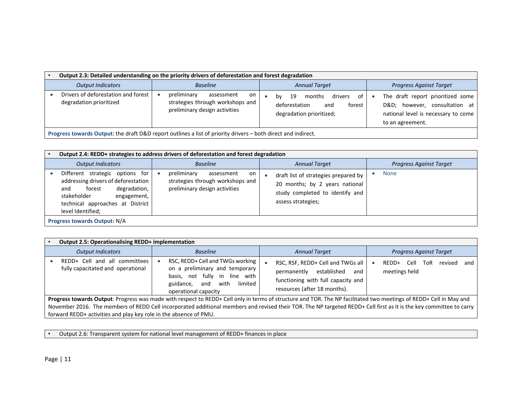| Output 2.3: Detailed understanding on the priority drivers of deforestation and forest degradation            |                                                                                                      |                                                                                                                                                                                                                                     |  |  |  |  |
|---------------------------------------------------------------------------------------------------------------|------------------------------------------------------------------------------------------------------|-------------------------------------------------------------------------------------------------------------------------------------------------------------------------------------------------------------------------------------|--|--|--|--|
| <b>Output Indicators</b>                                                                                      | <b>Baseline</b>                                                                                      | <b>Progress Against Target</b><br><b>Annual Target</b>                                                                                                                                                                              |  |  |  |  |
| Drivers of deforestation and forest<br>degradation prioritized                                                | preliminary<br>assessment<br>on<br>strategies through workshops and<br>preliminary design activities | The draft report prioritized some<br>drivers<br>months<br>of<br>- 19<br>bv<br>D&D however, consultation at<br>deforestation<br>forest<br>and<br>national level is necessary to come<br>degradation prioritized;<br>to an agreement. |  |  |  |  |
| Progress towards Output: the draft D&D report outlines a list of priority drivers - both direct and indirect. |                                                                                                      |                                                                                                                                                                                                                                     |  |  |  |  |

| Output 2.4: REDD+ strategies to address drivers of deforestation and forest degradation                                                                                                        |                                                                                                                                                                                                                                         |                                |  |  |  |  |  |
|------------------------------------------------------------------------------------------------------------------------------------------------------------------------------------------------|-----------------------------------------------------------------------------------------------------------------------------------------------------------------------------------------------------------------------------------------|--------------------------------|--|--|--|--|--|
| <b>Output Indicators</b>                                                                                                                                                                       | <b>Annual Target</b><br><b>Baseline</b>                                                                                                                                                                                                 | <b>Progress Against Target</b> |  |  |  |  |  |
| Different strategic options for<br>addressing drivers of deforestation<br>degradation,<br>forest<br>and<br>stakeholder<br>engagement,<br>technical approaches at District<br>level Identified; | preliminary<br>assessment<br>on<br>draft list of strategies prepared by<br>strategies through workshops and<br>20 months; by 2 years national<br>preliminary design activities<br>study completed to identify and<br>assess strategies; | <b>None</b>                    |  |  |  |  |  |
| <b>Progress towards Output: N/A</b>                                                                                                                                                            |                                                                                                                                                                                                                                         |                                |  |  |  |  |  |

|                                                                                                                                                                    | <b>Output 2.5: Operationalising REDD+ implementation</b>           |  |                                                                                                                                                                 |  |                                                                                                                                                                     |  |                        |      |                                |         |     |
|--------------------------------------------------------------------------------------------------------------------------------------------------------------------|--------------------------------------------------------------------|--|-----------------------------------------------------------------------------------------------------------------------------------------------------------------|--|---------------------------------------------------------------------------------------------------------------------------------------------------------------------|--|------------------------|------|--------------------------------|---------|-----|
|                                                                                                                                                                    | <b>Output Indicators</b>                                           |  | <b>Baseline</b>                                                                                                                                                 |  | <b>Annual Target</b>                                                                                                                                                |  |                        |      | <b>Progress Against Target</b> |         |     |
|                                                                                                                                                                    | REDD+ Cell and all committees<br>fully capacitated and operational |  | RSC, REDD+ Cell and TWGs working<br>on a preliminary and temporary<br>basis, not fully in line with<br>limited<br>and with<br>guidance,<br>operational capacity |  | RSC, RSF, REDD+ Cell and TWGs all<br>permanently established<br>and<br>functioning with full capacity and<br>resources (after 18 months).                           |  | REDD+<br>meetings held | Cell | ToR                            | revised | and |
| Progress towards Output: Progress was made with respect to REDD+ Cell only in terms of structure and TOR. The NP facilitated two meetings of REDD+ Cell in May and |                                                                    |  |                                                                                                                                                                 |  |                                                                                                                                                                     |  |                        |      |                                |         |     |
|                                                                                                                                                                    |                                                                    |  |                                                                                                                                                                 |  | November 2016. The members of REDD Cell incorporated additional members and revised their TOR. The NP targeted REDD+ Cell first as it is the key committee to carry |  |                        |      |                                |         |     |
|                                                                                                                                                                    | forward REDD+ activities and play key role in the absence of PMU.  |  |                                                                                                                                                                 |  |                                                                                                                                                                     |  |                        |      |                                |         |     |

• Output 2.6: Transparent system for national level management of REDD+ finances in place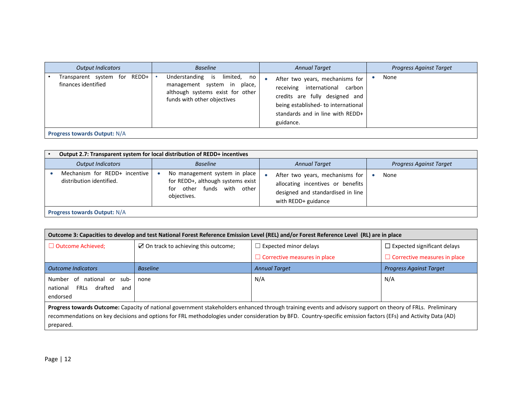| <b>Output Indicators</b>                               | <b>Baseline</b>                                                                                                                | <b>Annual Target</b>                                                                                                                                                                                        | <b>Progress Against Target</b> |  |  |  |  |
|--------------------------------------------------------|--------------------------------------------------------------------------------------------------------------------------------|-------------------------------------------------------------------------------------------------------------------------------------------------------------------------------------------------------------|--------------------------------|--|--|--|--|
| REDD+<br>Transparent system for<br>finances identified | Understanding is limited, no<br>management system in place,<br>although systems exist for other<br>funds with other objectives | After two years, mechanisms for<br>$\bullet$<br>receiving international<br>carbon<br>credits are fully designed and<br>being established- to international<br>standards and in line with REDD+<br>guidance. | None                           |  |  |  |  |
| <b>Progress towards Output: N/A</b>                    |                                                                                                                                |                                                                                                                                                                                                             |                                |  |  |  |  |

| Output 2.7: Transparent system for local distribution of REDD+ incentives |                                                                                                                                                                                                                                                     |                                |  |  |  |  |  |
|---------------------------------------------------------------------------|-----------------------------------------------------------------------------------------------------------------------------------------------------------------------------------------------------------------------------------------------------|--------------------------------|--|--|--|--|--|
| <b>Output Indicators</b>                                                  | <b>Baseline</b><br><b>Annual Target</b>                                                                                                                                                                                                             | <b>Progress Against Target</b> |  |  |  |  |  |
| Mechanism for REDD+ incentive<br>distribution identified.                 | No management system in place<br>After two years, mechanisms for<br>for REDD+, although systems exist<br>allocating incentives or benefits<br>for other funds with other<br>designed and standardised in line<br>objectives.<br>with REDD+ guidance | None                           |  |  |  |  |  |
| <b>Progress towards Output: N/A</b>                                       |                                                                                                                                                                                                                                                     |                                |  |  |  |  |  |

| Outcome 3: Capacities to develop and test National Forest Reference Emission Level (REL) and/or Forest Reference Level (RL) are in place                    |                                                 |                                     |                                     |  |  |  |  |
|-------------------------------------------------------------------------------------------------------------------------------------------------------------|-------------------------------------------------|-------------------------------------|-------------------------------------|--|--|--|--|
| $\Box$ Outcome Achieved;                                                                                                                                    | $\boxtimes$ On track to achieving this outcome; | $\Box$ Expected minor delays        | $\Box$ Expected significant delays  |  |  |  |  |
|                                                                                                                                                             |                                                 | $\Box$ Corrective measures in place | $\Box$ Corrective measures in place |  |  |  |  |
| <b>Outcome Indicators</b>                                                                                                                                   | <b>Baseline</b>                                 | <b>Annual Target</b>                | <b>Progress Against Target</b>      |  |  |  |  |
| N/A<br>Number<br>N/A<br>of<br>national or<br>sub-<br>none<br><b>FRLs</b><br>drafted<br>national<br>and<br>endorsed                                          |                                                 |                                     |                                     |  |  |  |  |
| Progress towards Outcome: Capacity of national government stakeholders enhanced through training events and advisory support on theory of FRLs. Preliminary |                                                 |                                     |                                     |  |  |  |  |

recommendations on key decisions and options for FRL methodologies under consideration by BFD. Country‐specific emission factors (EFs) and Activity Data (AD) prepared.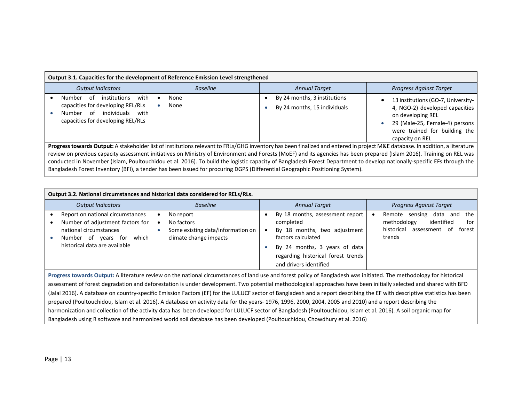| Output 3.1. Capacities for the development of Reference Emission Level strengthened                                                                                                                                                                                                                                                                                                                                                                                                                                                                                                                                                                              |                 |                                                              |                                                                                                                                                                                 |  |  |  |  |
|------------------------------------------------------------------------------------------------------------------------------------------------------------------------------------------------------------------------------------------------------------------------------------------------------------------------------------------------------------------------------------------------------------------------------------------------------------------------------------------------------------------------------------------------------------------------------------------------------------------------------------------------------------------|-----------------|--------------------------------------------------------------|---------------------------------------------------------------------------------------------------------------------------------------------------------------------------------|--|--|--|--|
| <b>Output Indicators</b>                                                                                                                                                                                                                                                                                                                                                                                                                                                                                                                                                                                                                                         | <b>Baseline</b> | <b>Annual Target</b>                                         | <b>Progress Against Target</b>                                                                                                                                                  |  |  |  |  |
| with<br>institutions<br>Number<br>of<br>capacities for developing REL/RLs<br>individuals<br>റf<br>with<br>Number<br>capacities for developing REL/RLs                                                                                                                                                                                                                                                                                                                                                                                                                                                                                                            | None<br>None    | By 24 months, 3 institutions<br>By 24 months, 15 individuals | 13 institutions (GO-7, University-<br>4, NGO-2) developed capacities<br>on developing REL<br>29 (Male-25, Female-4) persons<br>were trained for building the<br>capacity on REL |  |  |  |  |
| Progress towards Output: A stakeholder list of institutions relevant to FRLs/GHG inventory has been finalized and entered in project M&E database. In addition, a literature<br>review on previous capacity assessment initiatives on Ministry of Environment and Forests (MoEF) and its agencies has been prepared (Islam 2016). Training on REL was<br>conducted in November (Islam, Poultouchidou et al. 2016). To build the logistic capacity of Bangladesh Forest Department to develop nationally-specific EFs through the<br>Bangladesh Forest Inventory (BFI), a tender has been issued for procuring DGPS (Differential Geographic Positioning System). |                 |                                                              |                                                                                                                                                                                 |  |  |  |  |

| Output 3.2. National circumstances and historical data considered for RELs/RLs.                                                                                                                                                                                                                                                                                                                                                                                                                                                                                                                                                                                                                                                                                                                                                                                                                                                                                                     |                                                                                        |                                                                                                                                                                                                     |                                                                                                                              |  |  |  |
|-------------------------------------------------------------------------------------------------------------------------------------------------------------------------------------------------------------------------------------------------------------------------------------------------------------------------------------------------------------------------------------------------------------------------------------------------------------------------------------------------------------------------------------------------------------------------------------------------------------------------------------------------------------------------------------------------------------------------------------------------------------------------------------------------------------------------------------------------------------------------------------------------------------------------------------------------------------------------------------|----------------------------------------------------------------------------------------|-----------------------------------------------------------------------------------------------------------------------------------------------------------------------------------------------------|------------------------------------------------------------------------------------------------------------------------------|--|--|--|
| <b>Output Indicators</b>                                                                                                                                                                                                                                                                                                                                                                                                                                                                                                                                                                                                                                                                                                                                                                                                                                                                                                                                                            | <b>Baseline</b>                                                                        | <b>Annual Target</b>                                                                                                                                                                                | <b>Progress Against Target</b>                                                                                               |  |  |  |
| Report on national circumstances<br>Number of adjustment factors for<br>national circumstances<br>Number of years for<br>which<br>historical data are available                                                                                                                                                                                                                                                                                                                                                                                                                                                                                                                                                                                                                                                                                                                                                                                                                     | No report<br>No factors<br>Some existing data/information on<br>climate change impacts | By 18 months, assessment report<br>completed<br>By 18 months, two adjustment<br>factors calculated<br>By 24 months, 3 years of data<br>regarding historical forest trends<br>and drivers identified | Remote<br>sensing data and<br>the<br>methodology<br>identified<br>for<br>historical<br>assessment<br>forest<br>-of<br>trends |  |  |  |
| Progress towards Output: A literature review on the national circumstances of land use and forest policy of Bangladesh was initiated. The methodology for historical<br>assessment of forest degradation and deforestation is under development. Two potential methodological approaches have been initially selected and shared with BFD<br>(Jalal 2016). A database on country-specific Emission Factors (EF) for the LULUCF sector of Bangladesh and a report describing the EF with descriptive statistics has been<br>prepared (Poultouchidou, Islam et al. 2016). A database on activity data for the years-1976, 1996, 2000, 2004, 2005 and 2010) and a report describing the<br>harmonization and collection of the activity data has been developed for LULUCF sector of Bangladesh (Poultouchidou, Islam et al. 2016). A soil organic map for<br>Bangladesh using R software and harmonized world soil database has been developed (Poultouchidou, Chowdhury et al. 2016) |                                                                                        |                                                                                                                                                                                                     |                                                                                                                              |  |  |  |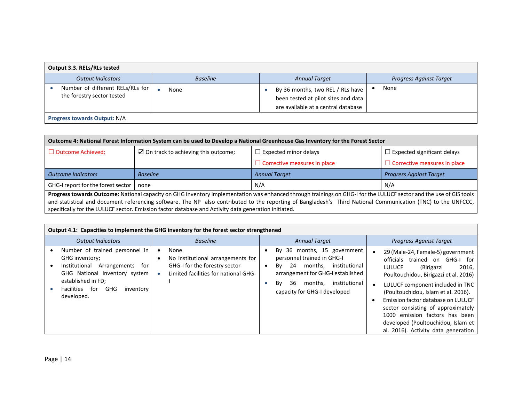| Output 3.3. RELs/RLs tested                                    |                 |                                                                                                                |                                |  |  |  |  |
|----------------------------------------------------------------|-----------------|----------------------------------------------------------------------------------------------------------------|--------------------------------|--|--|--|--|
| <b>Output Indicators</b>                                       | <b>Baseline</b> | <b>Annual Target</b>                                                                                           | <b>Progress Against Target</b> |  |  |  |  |
| Number of different RELs/RLs for<br>the forestry sector tested | None            | By 36 months, two REL / RLs have<br>been tested at pilot sites and data<br>are available at a central database | None                           |  |  |  |  |
| Progress towards Output: N/A                                   |                 |                                                                                                                |                                |  |  |  |  |

| Outcome 4: National Forest Information System can be used to Develop a National Greenhouse Gas Inventory for the Forest Sector                                     |                                                                                                      |                      |                                    |  |  |  |  |
|--------------------------------------------------------------------------------------------------------------------------------------------------------------------|------------------------------------------------------------------------------------------------------|----------------------|------------------------------------|--|--|--|--|
| $\Box$ Outcome Achieved;                                                                                                                                           | $\boxtimes$ On track to achieving this outcome;<br>$\Box$ Expected minor delays                      |                      | $\Box$ Expected significant delays |  |  |  |  |
|                                                                                                                                                                    | $\Box$ Corrective measures in place                                                                  |                      |                                    |  |  |  |  |
| <b>Outcome Indicators</b>                                                                                                                                          | <b>Baseline</b>                                                                                      | <b>Annual Target</b> | <b>Progress Against Target</b>     |  |  |  |  |
|                                                                                                                                                                    | GHG-I report for the forest sector<br>N/A<br>N/A<br>none                                             |                      |                                    |  |  |  |  |
| Progress towards Outcome: National capacity on GHG inventory implementation was enhanced through trainings on GHG-I for the LULUCF sector and the use of GIS tools |                                                                                                      |                      |                                    |  |  |  |  |
| and statistical and document referencing software. The NP also contributed to the reporting of Bangladesh's Third National Communication (TNC) to the UNFCCC,      |                                                                                                      |                      |                                    |  |  |  |  |
|                                                                                                                                                                    | specifically for the LULUCF sector. Emission factor database and Activity data generation initiated. |                      |                                    |  |  |  |  |

| Output 4.1: Capacities to implement the GHG inventory for the forest sector strengthened                                                                                                               |                                                                                                                    |  |                                                                                                                                                                                                                |  |                                                                                                                                                                                                                                                                                                                                                                                                                                      |  |  |
|--------------------------------------------------------------------------------------------------------------------------------------------------------------------------------------------------------|--------------------------------------------------------------------------------------------------------------------|--|----------------------------------------------------------------------------------------------------------------------------------------------------------------------------------------------------------------|--|--------------------------------------------------------------------------------------------------------------------------------------------------------------------------------------------------------------------------------------------------------------------------------------------------------------------------------------------------------------------------------------------------------------------------------------|--|--|
| <b>Output Indicators</b>                                                                                                                                                                               | <b>Baseline</b>                                                                                                    |  | <b>Annual Target</b>                                                                                                                                                                                           |  | <b>Progress Against Target</b>                                                                                                                                                                                                                                                                                                                                                                                                       |  |  |
| Number of trained personnel in<br>GHG inventory;<br>Arrangements<br>Institutional<br>for<br>GHG National Inventory system<br>established in FD;<br>GHG<br>Facilities<br>for<br>inventory<br>developed. | None<br>No institutional arrangements for<br>GHG-I for the forestry sector<br>Limited facilities for national GHG- |  | By 36 months, 15 government<br>personnel trained in GHG-I<br>months.<br>Bv<br>24<br>institutional<br>arrangement for GHG-I established<br>institutional<br>Bv<br>36<br>months.<br>capacity for GHG-I developed |  | 29 (Male-24, Female-5) government<br>trained on GHG-I<br>officials<br>for<br>(Birigazzi<br>2016,<br><b>LULUCF</b><br>Poultouchidou, Birigazzi et al. 2016)<br>LULUCF component included in TNC<br>(Poultouchidou, Islam et al. 2016).<br>Emission factor database on LULUCF<br>sector consisting of approximately<br>emission factors has been<br>1000.<br>developed (Poultouchidou, Islam et<br>al. 2016). Activity data generation |  |  |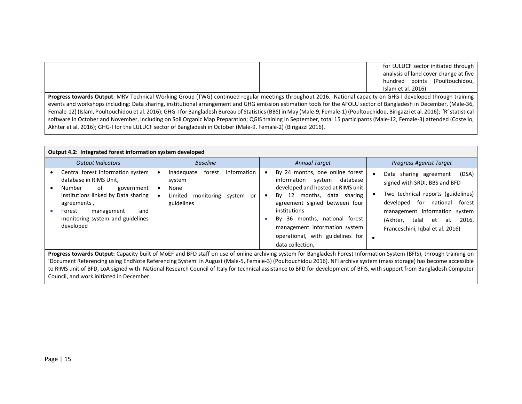|                                                                                                                                                                                  |  |  | for LULUCF sector initiated through<br>analysis of land cover change at five<br>hundred points (Poultouchidou,<br>Islam et al. 2016)                                |  |  |
|----------------------------------------------------------------------------------------------------------------------------------------------------------------------------------|--|--|---------------------------------------------------------------------------------------------------------------------------------------------------------------------|--|--|
|                                                                                                                                                                                  |  |  | <b>Progress towards Output:</b> MRV Technical Working Group (TWG) continued regular meetings throughout 2016. National capacity on GHG-I developed through training |  |  |
| events and workshops including: Data sharing, institutional arrangement and GHG emission estimation tools for the AFOLU sector of Bangladesh in December, (Male-36,              |  |  |                                                                                                                                                                     |  |  |
| Female-12) (Islam, Poultouchidou et al. 2016); GHG-I for Bangladesh Bureau of Statistics (BBS) in May (Male-9, Female-1) (Poultouchidou, Birigazzi et al. 2016); 'R' statistical |  |  |                                                                                                                                                                     |  |  |
| software in October and November, including on Soil Organic Map Preparation; QGIS training in September, total 15 participants (Male-12, Female-3) attended (Costello,           |  |  |                                                                                                                                                                     |  |  |
| Akhter et al. 2016); GHG-I for the LULUCF sector of Bangladesh in October (Male-9, Female-2) (Birigazzi 2016).                                                                   |  |  |                                                                                                                                                                     |  |  |

| <b>Output 4.2: Integrated forest information system developed</b>                                                                                                                                                               |                                                                                                                                                                             |  |                                                                                                                                                                                                                                                                                                                    |  |                                                                                                                                                                                                                                                               |  |
|---------------------------------------------------------------------------------------------------------------------------------------------------------------------------------------------------------------------------------|-----------------------------------------------------------------------------------------------------------------------------------------------------------------------------|--|--------------------------------------------------------------------------------------------------------------------------------------------------------------------------------------------------------------------------------------------------------------------------------------------------------------------|--|---------------------------------------------------------------------------------------------------------------------------------------------------------------------------------------------------------------------------------------------------------------|--|
| <b>Output Indicators</b>                                                                                                                                                                                                        | <b>Baseline</b>                                                                                                                                                             |  | <b>Annual Target</b>                                                                                                                                                                                                                                                                                               |  | <b>Progress Against Target</b>                                                                                                                                                                                                                                |  |
| Central forest Information system<br>database in RIMS Unit,<br>of<br>Number<br>government<br>institutions linked by Data sharing<br>agreements,<br>and<br>Forest<br>management<br>monitoring system and guidelines<br>developed | information<br>Inadequate<br>forest<br>system<br>None<br>Limited<br>monitoring system<br>or<br>guidelines                                                                   |  | By 24 months, one online forest<br>database<br>information system<br>developed and hosted at RIMS unit<br>months, data sharing<br>By 12<br>agreement signed between four<br>institutions<br>By 36 months, national forest<br>management information system<br>operational, with guidelines for<br>data collection, |  | (DSA)<br>Data sharing agreement<br>signed with SRDI, BBS and BFD<br>Two technical reports (guidelines)<br>for<br>national<br>forest<br>developed<br>management information system<br>(Akhter.<br>Jalal et<br>2016,<br>al.<br>Franceschini, Igbal et al. 2016) |  |
|                                                                                                                                                                                                                                 | <b>Progress towards Output:</b> Capacity built of MoEF and BFD staff on use of online archiving system for Bangladesh Forest Information System (BFIS), through training on |  |                                                                                                                                                                                                                                                                                                                    |  |                                                                                                                                                                                                                                                               |  |

**Progress towards Output:** Capacity built of MoEF and BFD staff on use of online archiving system for Bangladesh Forest Information System (BFIS), through training on 'Document Referencing using EndNote Referencing System' in August (Male‐5, Female‐3) (Poultouchidou 2016). NFI archive system (mass storage) has become accessible to RIMS unit of BFD, LoA signed with National Research Council of Italy for technical assistance to BFD for development of BFIS, with support from Bangladesh Computer Council, and work initiated in December.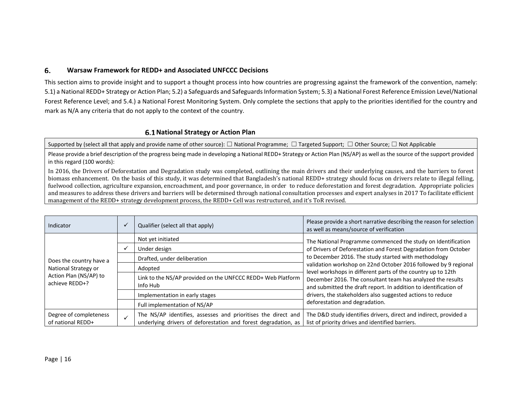#### 6. **Warsaw Framework for REDD+ and Associated UNFCCC Decisions**

This section aims to provide insight and to support <sup>a</sup> thought process into how countries are progressing against the framework of the convention, namely: 5.1) a National REDD+ Strategy or Action Plan; 5.2) a Safeguards and Safeguards Information System; 5.3) a National Forest Reference Emission Level/National Forest Reference Level; and 5.4.) <sup>a</sup> National Forest Monitoring System. Only complete the sections that apply to the priorities identified for the country and mark as N/A any criteria that do not apply to the context of the country.

### **National Strategy or Action Plan**

Supported by (select all that apply and provide name of other source): □ National Programme; □ Targeted Support; □ Other Source; □ Not Applicable

Please provide <sup>a</sup> brief description of the progress being made in developing <sup>a</sup> National REDD+ Strategy or Action Plan (NS/AP) as well asthe source of the support provided in this regard (100 words):

In 2016, the Drivers of Deforestation and Degradation study was completed, outlining the main drivers and their underlying causes, and the barriers to forest biomass enhancement. On the basis of this study, it was determined that Bangladesh's national REDD+ strategy should focus on drivers relate to illegal felling, fuelwood collection, agriculture expansion, encroachment, and poor governance, in order to reduce deforestation and forest degradation. Appropriate policies and measures to address these drivers and barriers will be determined through national consultation processes and expert analyses in 2017 To facilitate efficient management of the REDD+ strategy development process, the REDD+ Cell was restructured, and it's ToR revised.

| Indicator                                                                                   | Qualifier (select all that apply)                                                                                               | Please provide a short narrative describing the reason for selection<br>as well as means/source of verification                 |
|---------------------------------------------------------------------------------------------|---------------------------------------------------------------------------------------------------------------------------------|---------------------------------------------------------------------------------------------------------------------------------|
| Does the country have a<br>National Strategy or<br>Action Plan (NS/AP) to<br>achieve REDD+? | Not yet initiated                                                                                                               | The National Programme commenced the study on Identification                                                                    |
|                                                                                             | Under design                                                                                                                    | of Drivers of Deforestation and Forest Degradation from October                                                                 |
|                                                                                             | Drafted, under deliberation                                                                                                     | to December 2016. The study started with methodology                                                                            |
|                                                                                             | Adopted                                                                                                                         | validation workshop on 22nd October 2016 followed by 9 regional<br>level workshops in different parts of the country up to 12th |
|                                                                                             | Link to the NS/AP provided on the UNFCCC REDD+ Web Platform<br>Info Hub                                                         | December 2016. The consultant team has analyzed the results<br>and submitted the draft report. In addition to identification of |
|                                                                                             | Implementation in early stages                                                                                                  | drivers, the stakeholders also suggested actions to reduce                                                                      |
|                                                                                             | Full implementation of NS/AP                                                                                                    | deforestation and degradation.                                                                                                  |
| Degree of completeness<br>of national REDD+                                                 | The NS/AP identifies, assesses and prioritises the direct and<br>underlying drivers of deforestation and forest degradation, as | The D&D study identifies drivers, direct and indirect, provided a<br>list of priority drives and identified barriers.           |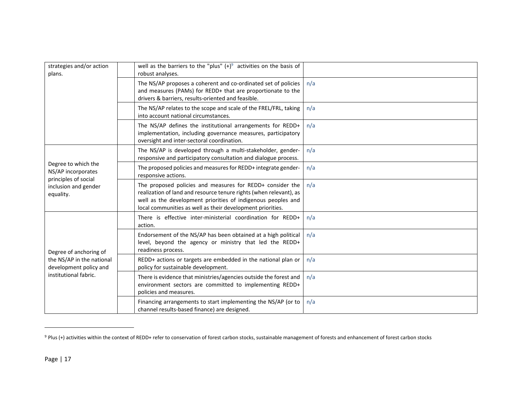| strategies and/or action<br>plans.                                                                     | well as the barriers to the "plus" $(+)^9$ activities on the basis of<br>robust analyses.                                                                                                                                                                     |     |
|--------------------------------------------------------------------------------------------------------|---------------------------------------------------------------------------------------------------------------------------------------------------------------------------------------------------------------------------------------------------------------|-----|
|                                                                                                        | The NS/AP proposes a coherent and co-ordinated set of policies<br>and measures (PAMs) for REDD+ that are proportionate to the<br>drivers & barriers, results-oriented and feasible.                                                                           | n/a |
|                                                                                                        | The NS/AP relates to the scope and scale of the FREL/FRL, taking<br>into account national circumstances.                                                                                                                                                      | n/a |
|                                                                                                        | The NS/AP defines the institutional arrangements for REDD+<br>implementation, including governance measures, participatory<br>oversight and inter-sectoral coordination.                                                                                      | n/a |
|                                                                                                        | The NS/AP is developed through a multi-stakeholder, gender-<br>responsive and participatory consultation and dialogue process.                                                                                                                                | n/a |
| Degree to which the<br>NS/AP incorporates<br>principles of social                                      | The proposed policies and measures for REDD+ integrate gender-<br>responsive actions.                                                                                                                                                                         | n/a |
| inclusion and gender<br>equality.                                                                      | The proposed policies and measures for REDD+ consider the<br>realization of land and resource tenure rights (when relevant), as<br>well as the development priorities of indigenous peoples and<br>local communities as well as their development priorities. | n/a |
| Degree of anchoring of<br>the NS/AP in the national<br>development policy and<br>institutional fabric. | There is effective inter-ministerial coordination for REDD+<br>action.                                                                                                                                                                                        | n/a |
|                                                                                                        | Endorsement of the NS/AP has been obtained at a high political<br>level, beyond the agency or ministry that led the REDD+<br>readiness process.                                                                                                               | n/a |
|                                                                                                        | REDD+ actions or targets are embedded in the national plan or<br>policy for sustainable development.                                                                                                                                                          | n/a |
|                                                                                                        | There is evidence that ministries/agencies outside the forest and<br>environment sectors are committed to implementing REDD+<br>policies and measures.                                                                                                        | n/a |
|                                                                                                        | Financing arrangements to start implementing the NS/AP (or to<br>channel results-based finance) are designed.                                                                                                                                                 | n/a |

 $9$  Plus (+) activities within the context of REDD+ refer to conservation of forest carbon stocks, sustainable management of forests and enhancement of forest carbon stocks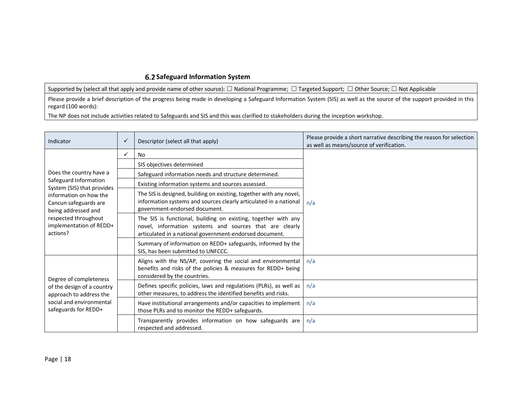### **Safeguard Information System**

Supported by (select all that apply and provide name of other source): □ National Programme; □ Targeted Support; □ Other Source; □ Not Applicable

Please provide <sup>a</sup> brief description of the progress being made in developing <sup>a</sup> Safeguard Information System (SIS) as well as the source of the support provided in this regard (100 words):

The NP does not include activities related to Safeguards and SIS and this was clarified to stakeholders during the inception workshop.

| Indicator                                                                                                                             | $\checkmark$ | Descriptor (select all that apply)                                                                                                                                                   | Please provide a short narrative describing the reason for selection<br>as well as means/source of verification. |  |
|---------------------------------------------------------------------------------------------------------------------------------------|--------------|--------------------------------------------------------------------------------------------------------------------------------------------------------------------------------------|------------------------------------------------------------------------------------------------------------------|--|
|                                                                                                                                       | ✓            | No                                                                                                                                                                                   |                                                                                                                  |  |
|                                                                                                                                       |              | SIS objectives determined                                                                                                                                                            |                                                                                                                  |  |
| Does the country have a                                                                                                               |              | Safeguard information needs and structure determined.                                                                                                                                |                                                                                                                  |  |
| Safeguard Information<br>System (SIS) that provides                                                                                   |              | Existing information systems and sources assessed.                                                                                                                                   |                                                                                                                  |  |
| information on how the<br>Cancun safeguards are<br>being addressed and<br>respected throughout<br>implementation of REDD+<br>actions? |              | The SIS is designed, building on existing, together with any novel,<br>information systems and sources clearly articulated in a national<br>government-endorsed document.            | n/a                                                                                                              |  |
|                                                                                                                                       |              | The SIS is functional, building on existing, together with any<br>novel, information systems and sources that are clearly<br>articulated in a national government-endorsed document. |                                                                                                                  |  |
|                                                                                                                                       |              | Summary of information on REDD+ safeguards, informed by the<br>SIS, has been submitted to UNFCCC.                                                                                    |                                                                                                                  |  |
| Degree of completeness<br>of the design of a country<br>approach to address the<br>social and environmental<br>safeguards for REDD+   |              | Aligns with the NS/AP, covering the social and environmental<br>benefits and risks of the policies & measures for REDD+ being<br>considered by the countries.                        | n/a                                                                                                              |  |
|                                                                                                                                       |              | Defines specific policies, laws and regulations (PLRs), as well as<br>other measures, to address the identified benefits and risks.                                                  | n/a                                                                                                              |  |
|                                                                                                                                       |              | Have institutional arrangements and/or capacities to implement<br>those PLRs and to monitor the REDD+ safeguards.                                                                    | n/a                                                                                                              |  |
|                                                                                                                                       |              | Transparently provides information on how safeguards are<br>respected and addressed.                                                                                                 | n/a                                                                                                              |  |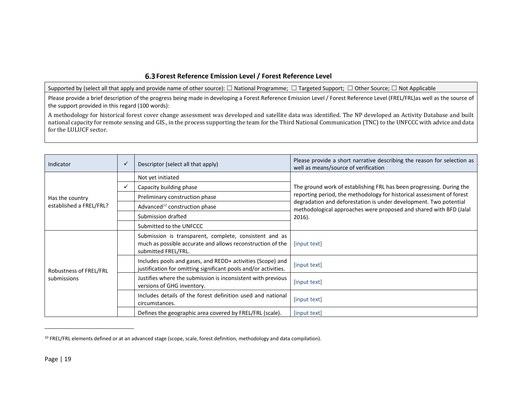### **Forest Reference Emission Level / Forest Reference Level**

Supported by (select all that apply and provide name of other source): □ National Programme; □ Targeted Support; □ Other Source; □ Not Applicable

Please provide a brief description of the progress being made in developing a Forest Reference Emission Level / Forest Reference Level (FREL/FRL)as well as the source of the support provided in this regard (100 words):

A methodology for historical forest cover change assessment was developed and satellite data was identified. The NP developed an Activity Database and built national capacity for remote sensing and GIS., in the process supporting the team for the Third National Communication (TNC) to the UNFCCC with advice and data for the LULUCF sector.

| Indicator                             | ✓ | Descriptor (select all that apply)                                                                                                          | Please provide a short narrative describing the reason for selection as<br>well as means/source of verification                                                                                                                                                                                    |  |
|---------------------------------------|---|---------------------------------------------------------------------------------------------------------------------------------------------|----------------------------------------------------------------------------------------------------------------------------------------------------------------------------------------------------------------------------------------------------------------------------------------------------|--|
|                                       |   | Not yet initiated                                                                                                                           | The ground work of establishing FRL has been progressing. During the<br>reporting period, the methodology for historical assessment of forest<br>degradation and deforestation is under development. Two potential<br>methodological approaches were proposed and shared with BFD (Jalal<br>2016). |  |
|                                       |   | Capacity building phase                                                                                                                     |                                                                                                                                                                                                                                                                                                    |  |
| Has the country                       |   | Preliminary construction phase                                                                                                              |                                                                                                                                                                                                                                                                                                    |  |
| established a FREL/FRL?               |   | Advanced <sup>10</sup> construction phase                                                                                                   |                                                                                                                                                                                                                                                                                                    |  |
|                                       |   | Submission drafted                                                                                                                          |                                                                                                                                                                                                                                                                                                    |  |
|                                       |   | Submitted to the UNFCCC                                                                                                                     |                                                                                                                                                                                                                                                                                                    |  |
| Robustness of FREL/FRL<br>submissions |   | Submission is transparent, complete, consistent and as<br>much as possible accurate and allows reconstruction of the<br>submitted FREL/FRL. | [input text]                                                                                                                                                                                                                                                                                       |  |
|                                       |   | Includes pools and gases, and REDD+ activities (Scope) and<br>justification for omitting significant pools and/or activities.               | [input text]                                                                                                                                                                                                                                                                                       |  |
|                                       |   | Justifies where the submission is inconsistent with previous<br>versions of GHG inventory.                                                  | [input text]                                                                                                                                                                                                                                                                                       |  |
|                                       |   | Includes details of the forest definition used and national<br>circumstances.                                                               | [input text]                                                                                                                                                                                                                                                                                       |  |
|                                       |   | Defines the geographic area covered by FREL/FRL (scale).                                                                                    | [input text]                                                                                                                                                                                                                                                                                       |  |

<sup>&</sup>lt;sup>10</sup> FREL/FRL elements defined or at an advanced stage (scope, scale, forest definition, methodology and data compilation).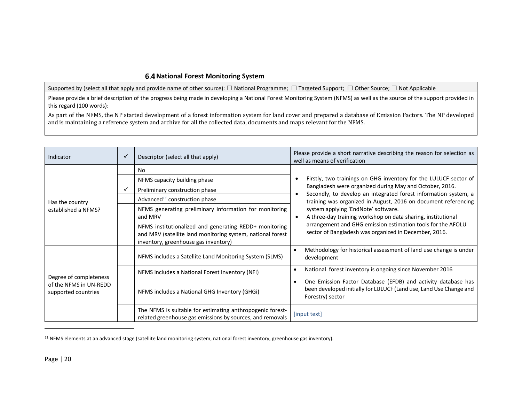### **National Forest Monitoring System**

Supported by (select all that apply and provide name of other source): □ National Programme; □ Targeted Support; □ Other Source; □ Not Applicable

Please provide <sup>a</sup> brief description of the progress being made in developing <sup>a</sup> National Forest Monitoring System (NFMS) as well as the source of the support provided in this regard (100 words):

As part of the NFMS, the NP started development of a forest information system for land cover and prepared a database of Emission Factors. The NP developed and is maintaining a reference system and archive for all the collected data, documents and maps relevant for the NFMS.

| Indicator                                                               | ✓ | Descriptor (select all that apply)                                                                                                                           | Please provide a short narrative describing the reason for selection as<br>well as means of verification                                                |
|-------------------------------------------------------------------------|---|--------------------------------------------------------------------------------------------------------------------------------------------------------------|---------------------------------------------------------------------------------------------------------------------------------------------------------|
| Has the country<br>established a NFMS?                                  |   | No                                                                                                                                                           |                                                                                                                                                         |
|                                                                         |   | NFMS capacity building phase                                                                                                                                 | Firstly, two trainings on GHG inventory for the LULUCF sector of                                                                                        |
|                                                                         |   | Preliminary construction phase                                                                                                                               | Bangladesh were organized during May and October, 2016.<br>Secondly, to develop an integrated forest information system, a                              |
|                                                                         |   | Advanced <sup>11</sup> construction phase                                                                                                                    | training was organized in August, 2016 on document referencing                                                                                          |
|                                                                         |   | NFMS generating preliminary information for monitoring<br>and MRV                                                                                            | system applying 'EndNote' software.<br>A three-day training workshop on data sharing, institutional                                                     |
|                                                                         |   | NFMS institutionalized and generating REDD+ monitoring<br>and MRV (satellite land monitoring system, national forest<br>inventory, greenhouse gas inventory) | arrangement and GHG emission estimation tools for the AFOLU<br>sector of Bangladesh was organized in December, 2016.                                    |
| Degree of completeness<br>of the NFMS in UN-REDD<br>supported countries |   | NFMS includes a Satellite Land Monitoring System (SLMS)                                                                                                      | Methodology for historical assessment of land use change is under<br>development                                                                        |
|                                                                         |   | NFMS includes a National Forest Inventory (NFI)                                                                                                              | National forest inventory is ongoing since November 2016                                                                                                |
|                                                                         |   | NFMS includes a National GHG Inventory (GHGi)                                                                                                                | One Emission Factor Database (EFDB) and activity database has<br>been developed initially for LULUCF (Land use, Land Use Change and<br>Forestry) sector |
|                                                                         |   | The NFMS is suitable for estimating anthropogenic forest-<br>related greenhouse gas emissions by sources, and removals                                       | [input text]                                                                                                                                            |

<sup>&</sup>lt;sup>11</sup> NFMS elements at an advanced stage (satellite land monitoring system, national forest inventory, greenhouse gas inventory).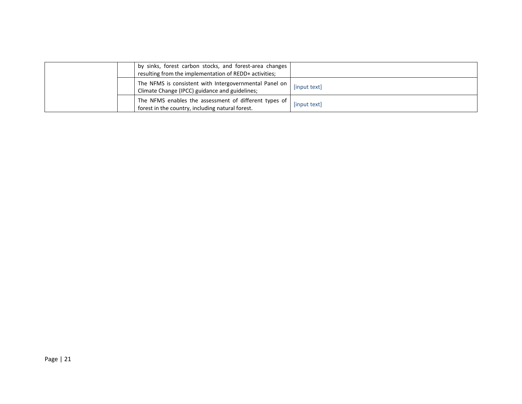|  | by sinks, forest carbon stocks, and forest-area changes<br>resulting from the implementation of REDD+ activities; |              |
|--|-------------------------------------------------------------------------------------------------------------------|--------------|
|  | The NFMS is consistent with Intergovernmental Panel on<br>Climate Change (IPCC) guidance and guidelines;          | [input text] |
|  | The NFMS enables the assessment of different types of<br>forest in the country, including natural forest.         | [input text] |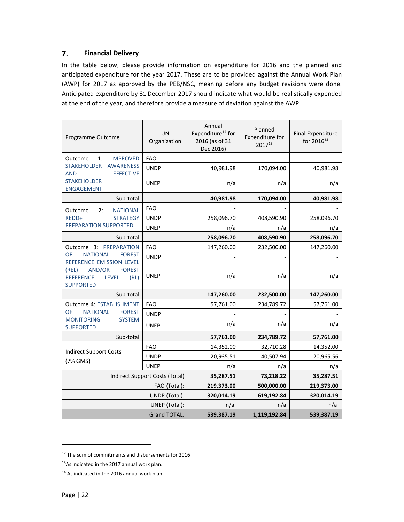#### 7. **Financial Delivery**

In the table below, please provide information on expenditure for 2016 and the planned and anticipated expenditure for the year 2017. These are to be provided against the Annual Work Plan (AWP) for 2017 as approved by the PEB/NSC, meaning before any budget revisions were done. Anticipated expenditure by 31 December 2017 should indicate what would be realistically expended at the end of the year, and therefore provide a measure of deviation against the AWP.

| Programme Outcome                                                                                                            | <b>UN</b><br>Organization      | Annual<br>Expenditure <sup>12</sup> for<br>2016 (as of 31<br>Dec 2016) | Planned<br>Expenditure for<br>201713 | <b>Final Expenditure</b><br>for 2016 <sup>14</sup> |
|------------------------------------------------------------------------------------------------------------------------------|--------------------------------|------------------------------------------------------------------------|--------------------------------------|----------------------------------------------------|
| Outcome<br>1:<br><b>IMPROVED</b>                                                                                             | <b>FAO</b>                     |                                                                        |                                      |                                                    |
| <b>STAKEHOLDER</b><br><b>AWARENESS</b>                                                                                       | <b>UNDP</b>                    | 40,981.98                                                              | 170,094.00                           | 40,981.98                                          |
| <b>AND</b><br><b>EFFECTIVE</b><br><b>STAKEHOLDER</b><br><b>ENGAGEMENT</b>                                                    | <b>UNEP</b>                    | n/a                                                                    | n/a                                  | n/a                                                |
| Sub-total                                                                                                                    |                                | 40,981.98                                                              | 170,094.00                           | 40,981.98                                          |
| <b>NATIONAL</b><br>2:<br>Outcome                                                                                             | <b>FAO</b>                     |                                                                        |                                      |                                                    |
| REDD+<br><b>STRATEGY</b>                                                                                                     | <b>UNDP</b>                    | 258,096.70                                                             | 408,590.90                           | 258,096.70                                         |
| <b>PREPARATION SUPPORTED</b>                                                                                                 | <b>UNEP</b>                    | n/a                                                                    | n/a                                  | n/a                                                |
| Sub-total                                                                                                                    |                                | 258,096.70                                                             | 408,590.90                           | 258,096.70                                         |
| Outcome 3: PREPARATION                                                                                                       | <b>FAO</b>                     | 147,260.00                                                             | 232,500.00                           | 147,260.00                                         |
| OF<br><b>NATIONAL</b><br><b>FOREST</b>                                                                                       | <b>UNDP</b>                    |                                                                        |                                      |                                                    |
| REFERENCE EMISSION LEVEL<br>AND/OR<br>(REL)<br><b>FOREST</b><br><b>REFERENCE</b><br><b>LEVEL</b><br>(RL)<br><b>SUPPORTED</b> | UNEP                           | n/a                                                                    | n/a                                  | n/a                                                |
| Sub-total                                                                                                                    |                                | 147,260.00                                                             | 232,500.00                           | 147,260.00                                         |
| Outcome 4: ESTABLISHMENT                                                                                                     | <b>FAO</b>                     | 57,761.00                                                              | 234,789.72                           | 57,761.00                                          |
| OF<br><b>NATIONAL</b><br><b>FOREST</b>                                                                                       | <b>UNDP</b>                    |                                                                        |                                      |                                                    |
| <b>MONITORING</b><br><b>SYSTEM</b><br><b>SUPPORTED</b>                                                                       | <b>UNEP</b>                    | n/a                                                                    | n/a                                  | n/a                                                |
| Sub-total                                                                                                                    |                                | 57,761.00                                                              | 234,789.72                           | 57,761.00                                          |
|                                                                                                                              | <b>FAO</b>                     | 14,352.00                                                              | 32,710.28                            | 14,352.00                                          |
| <b>Indirect Support Costs</b>                                                                                                | <b>UNDP</b>                    | 20,935.51                                                              | 40,507.94                            | 20,965.56                                          |
| (7% GMS)                                                                                                                     | <b>UNEP</b>                    | n/a                                                                    | n/a                                  | n/a                                                |
|                                                                                                                              | Indirect Support Costs (Total) | 35,287.51                                                              | 73,218.22                            | 35,287.51                                          |
|                                                                                                                              | 219,373.00                     | 500,000.00                                                             | 219,373.00                           |                                                    |
|                                                                                                                              | 320,014.19                     | 619,192.84                                                             | 320,014.19                           |                                                    |
|                                                                                                                              | n/a                            | n/a                                                                    | n/a                                  |                                                    |
|                                                                                                                              | 539,387.19                     | 1,119,192.84                                                           | 539,387.19                           |                                                    |

<sup>12</sup> The sum of commitments and disbursements for 2016

<sup>13</sup>As indicated in the 2017 annual work plan.

<sup>&</sup>lt;sup>14</sup> As indicated in the 2016 annual work plan.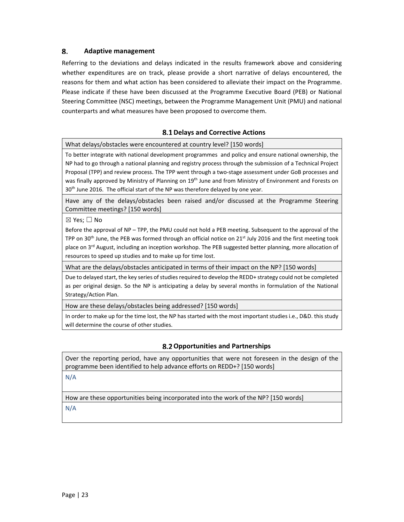#### 8. **Adaptive management**

Referring to the deviations and delays indicated in the results framework above and considering whether expenditures are on track, please provide a short narrative of delays encountered, the reasons for them and what action has been considered to alleviate their impact on the Programme. Please indicate if these have been discussed at the Programme Executive Board (PEB) or National Steering Committee (NSC) meetings, between the Programme Management Unit (PMU) and national counterparts and what measures have been proposed to overcome them.

### **Delays and Corrective Actions**

What delays/obstacles were encountered at country level? [150 words]

To better integrate with national development programmes and policy and ensure national ownership, the NP had to go through a national planning and registry process through the submission of a Technical Project Proposal (TPP) and review process. The TPP went through a two‐stage assessment under GoB processes and was finally approved by Ministry of Planning on 19<sup>th</sup> June and from Ministry of Environment and Forests on 30<sup>th</sup> June 2016. The official start of the NP was therefore delayed by one year.

Have any of the delays/obstacles been raised and/or discussed at the Programme Steering Committee meetings? [150 words]

 $⊠$  Yes;  $□$  No

Before the approval of NP – TPP, the PMU could not hold a PEB meeting. Subsequent to the approval of the TPP on 30<sup>th</sup> June, the PEB was formed through an official notice on 21<sup>st</sup> July 2016 and the first meeting took place on 3<sup>rd</sup> August, including an inception workshop. The PEB suggested better planning, more allocation of resources to speed up studies and to make up for time lost.

What are the delays/obstacles anticipated in terms of their impact on the NP? [150 words]

Due to delayed start, the key series of studies required to develop the REDD+ strategy could not be completed as per original design. So the NP is anticipating a delay by several months in formulation of the National Strategy/Action Plan.

How are these delays/obstacles being addressed? [150 words]

In order to make up for the time lost, the NP has started with the most important studies i.e., D&D. this study will determine the course of other studies.

### **Opportunities and Partnerships**

Over the reporting period, have any opportunities that were not foreseen in the design of the programme been identified to help advance efforts on REDD+? [150 words]

N/A

How are these opportunities being incorporated into the work of the NP? [150 words]

N/A